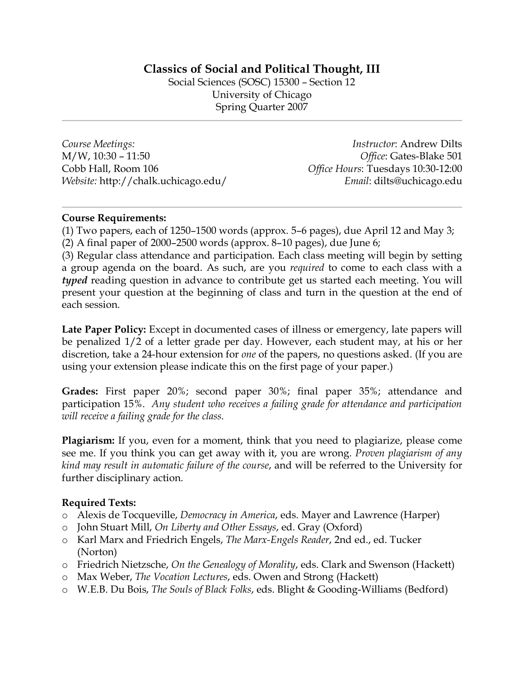# **Classics of Social and Political Thought, III**

Social Sciences (SOSC) 15300 – Section 12 University of Chicago Spring Quarter 2007

*Course Meetings:* M/W, 10:30 – 11:50 Cobb Hall, Room 106 *Website:* http://chalk.uchicago.edu/

*Instructor*: Andrew Dilts *Office*: Gates-Blake 501 *Office Hours*: Tuesdays 10:30-12:00 *Email*: dilts@uchicago.edu

# **Course Requirements:**

(1) Two papers, each of 1250–1500 words (approx. 5–6 pages), due April 12 and May 3; (2) A final paper of 2000–2500 words (approx. 8–10 pages), due June 6;

(3) Regular class attendance and participation. Each class meeting will begin by setting a group agenda on the board. As such, are you *required* to come to each class with a *typed* reading question in advance to contribute get us started each meeting. You will present your question at the beginning of class and turn in the question at the end of each session.

**Late Paper Policy:** Except in documented cases of illness or emergency, late papers will be penalized 1/2 of a letter grade per day. However, each student may, at his or her discretion, take a 24-hour extension for *one* of the papers, no questions asked. (If you are using your extension please indicate this on the first page of your paper.)

**Grades:** First paper 20%; second paper 30%; final paper 35%; attendance and participation 15%. *Any student who receives a failing grade for attendance and participation will receive a failing grade for the class*.

**Plagiarism:** If you, even for a moment, think that you need to plagiarize, please come see me. If you think you can get away with it, you are wrong. *Proven plagiarism of any kind may result in automatic failure of the course*, and will be referred to the University for further disciplinary action.

# **Required Texts:**

- o Alexis de Tocqueville, *Democracy in America*, eds. Mayer and Lawrence (Harper)
- o John Stuart Mill, *On Liberty and Other Essays*, ed. Gray (Oxford)
- o Karl Marx and Friedrich Engels, *The Marx-Engels Reader*, 2nd ed., ed. Tucker (Norton)
- o Friedrich Nietzsche, *On the Genealogy of Morality*, eds. Clark and Swenson (Hackett)
- o Max Weber, *The Vocation Lectures*, eds. Owen and Strong (Hackett)
- o W.E.B. Du Bois, *The Souls of Black Folks*, eds. Blight & Gooding-Williams (Bedford)